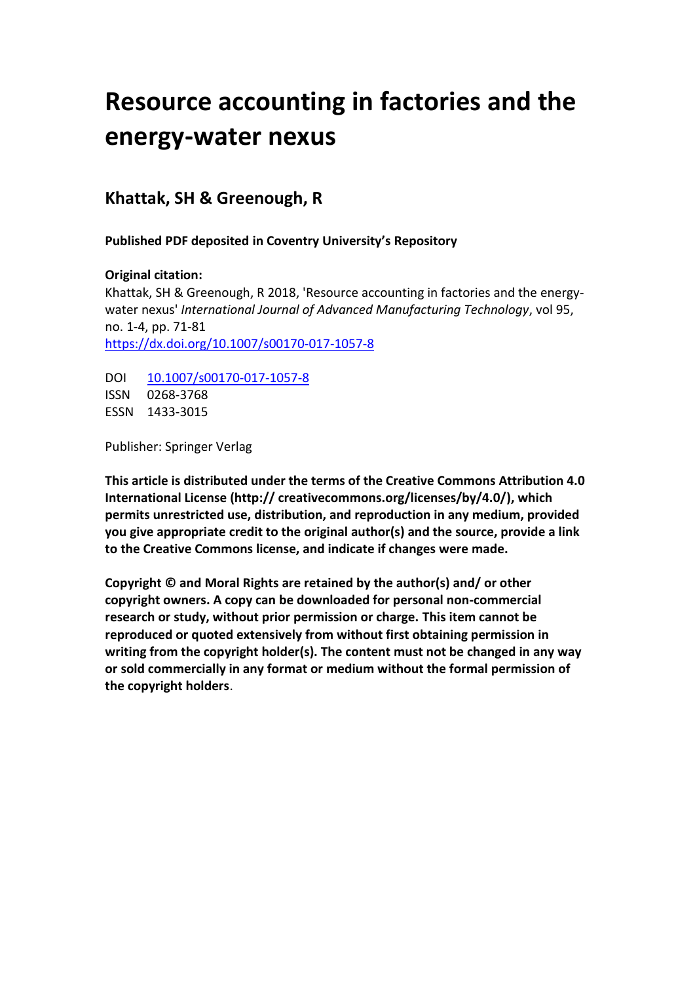# **Resource accounting in factories and the energy-water nexus**

# **Khattak, SH & Greenough, R**

**Published PDF deposited in Coventry University's Repository**

# **Original citation:**

Khattak, SH & Greenough, R 2018, 'Resource accounting in factories and the energywater nexus' *International Journal of Advanced Manufacturing Technology*, vol 95, no. 1-4, pp. 71-81 [https://dx.doi.org/10.1007/s00170-017-1057-8](https://dx.doi.org/10.3390/ma11040612)

DOI [10.1007/s00170-017-1057-8](http://dx.doi.org/10.1007/s00170-017-1057-8) ISSN 0268-3768 ESSN 1433-3015

Publisher: Springer Verlag

**This article is distributed under the terms of the Creative Commons Attribution 4.0 International License (http:// creativecommons.org/licenses/by/4.0/), which permits unrestricted use, distribution, and reproduction in any medium, provided you give appropriate credit to the original author(s) and the source, provide a link to the Creative Commons license, and indicate if changes were made.**

**Copyright © and Moral Rights are retained by the author(s) and/ or other copyright owners. A copy can be downloaded for personal non-commercial research or study, without prior permission or charge. This item cannot be reproduced or quoted extensively from without first obtaining permission in writing from the copyright holder(s). The content must not be changed in any way or sold commercially in any format or medium without the formal permission of the copyright holders**.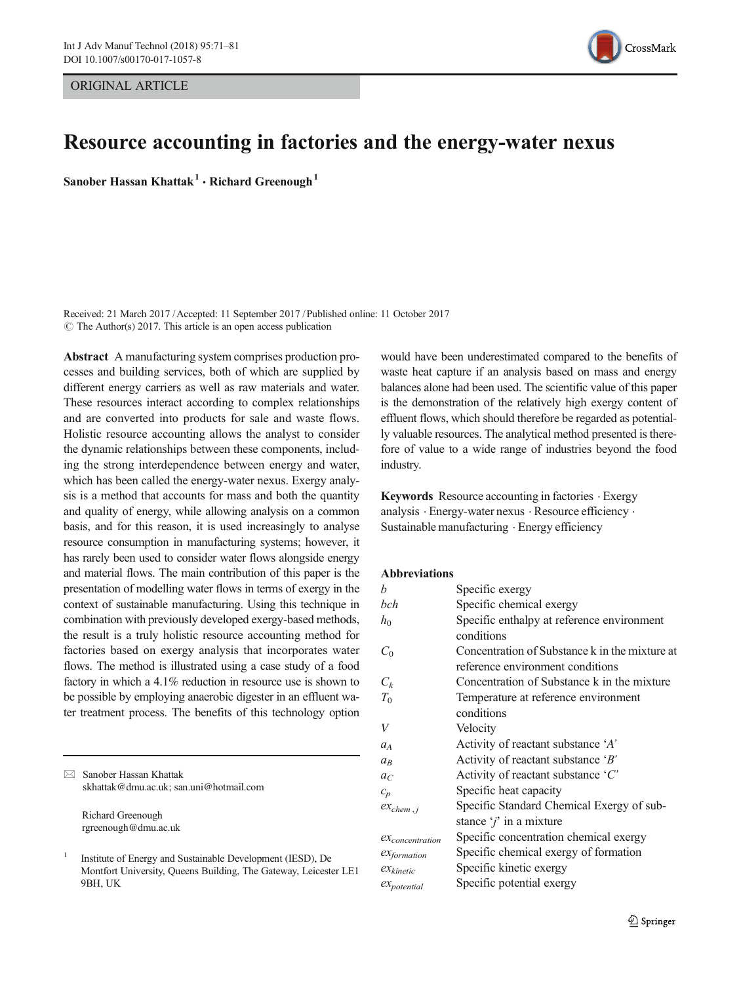ORIGINAL ARTICLE



# Resource accounting in factories and the energy-water nexus

Sanober Hassan Khattak<sup>1</sup> • Richard Greenough<sup>1</sup>

Received: 21 March 2017 /Accepted: 11 September 2017 / Published online: 11 October 2017  $\circ$  The Author(s) 2017. This article is an open access publication

Abstract A manufacturing system comprises production processes and building services, both of which are supplied by different energy carriers as well as raw materials and water. These resources interact according to complex relationships and are converted into products for sale and waste flows. Holistic resource accounting allows the analyst to consider the dynamic relationships between these components, including the strong interdependence between energy and water, which has been called the energy-water nexus. Exergy analysis is a method that accounts for mass and both the quantity and quality of energy, while allowing analysis on a common basis, and for this reason, it is used increasingly to analyse resource consumption in manufacturing systems; however, it has rarely been used to consider water flows alongside energy and material flows. The main contribution of this paper is the presentation of modelling water flows in terms of exergy in the context of sustainable manufacturing. Using this technique in combination with previously developed exergy-based methods, the result is a truly holistic resource accounting method for factories based on exergy analysis that incorporates water flows. The method is illustrated using a case study of a food factory in which a 4.1% reduction in resource use is shown to be possible by employing anaerobic digester in an effluent water treatment process. The benefits of this technology option

| $\bowtie$ | Sanober Hassan Khattak<br>skhattak@dmu.ac.uk; san.uni@hotmail.com |  |  |  |
|-----------|-------------------------------------------------------------------|--|--|--|
|           | Richard Greenough<br>rgreenough@dmu.ac.uk                         |  |  |  |
|           | Institute of Energy and Sustainable Development (IESD), De        |  |  |  |

Montfort University, Queens Building, The Gateway, Leicester LE1 9BH, UK

would have been underestimated compared to the benefits of waste heat capture if an analysis based on mass and energy balances alone had been used. The scientific value of this paper is the demonstration of the relatively high exergy content of effluent flows, which should therefore be regarded as potentially valuable resources. The analytical method presented is therefore of value to a wide range of industries beyond the food industry.

Keywords Resource accounting in factories . Exergy analysis . Energy-water nexus . Resource efficiency . Sustainable manufacturing . Energy efficiency

#### Abbreviations

| Specific exergy                                |
|------------------------------------------------|
| Specific chemical exergy                       |
| Specific enthalpy at reference environment     |
| conditions                                     |
| Concentration of Substance k in the mixture at |
| reference environment conditions               |
| Concentration of Substance k in the mixture    |
| Temperature at reference environment           |
| conditions                                     |
| Velocity                                       |
| Activity of reactant substance 'A'             |
| Activity of reactant substance $B'$            |
| Activity of reactant substance $C'$            |
| Specific heat capacity                         |
| Specific Standard Chemical Exergy of sub-      |
| stance $j'$ in a mixture                       |
| Specific concentration chemical exergy         |
| Specific chemical exergy of formation          |
| Specific kinetic exergy                        |
| Specific potential exergy                      |
|                                                |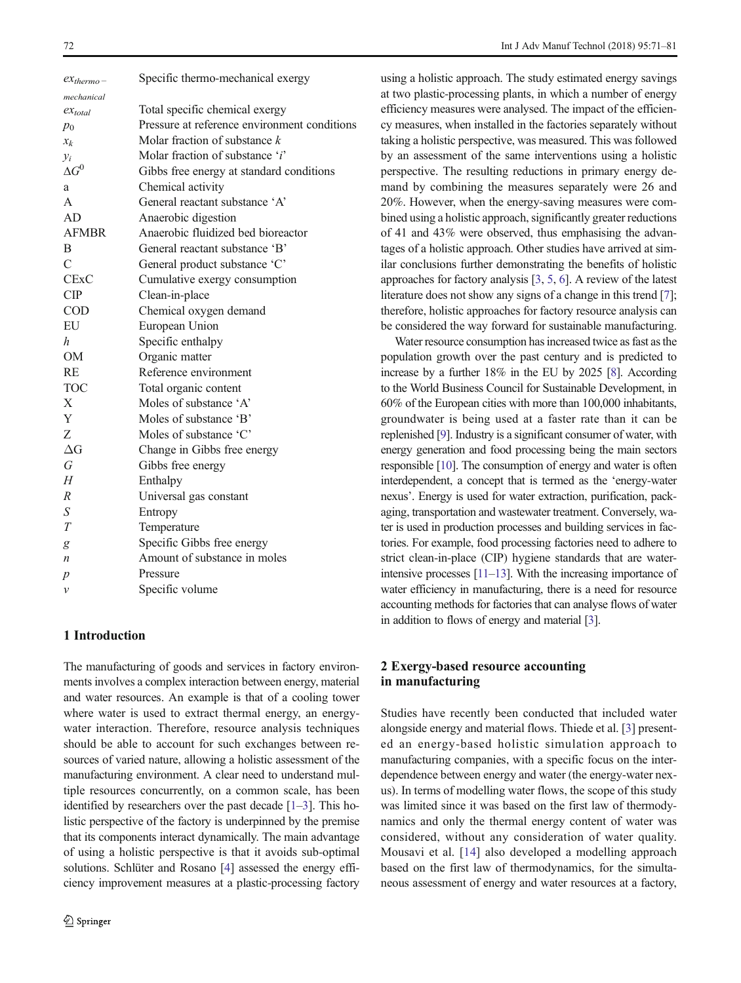<span id="page-2-0"></span>

| $ex_{thermo}$ –  | Specific thermo-mechanical exergy            |
|------------------|----------------------------------------------|
| mechanical       |                                              |
| $ex_{total}$     | Total specific chemical exergy               |
| $p_0$            | Pressure at reference environment conditions |
| $x_k$            | Molar fraction of substance $k$              |
| $y_i$            | Molar fraction of substance 'i'              |
| $\Delta G^0$     | Gibbs free energy at standard conditions     |
| a                | Chemical activity                            |
| A                | General reactant substance 'A'               |
| AD               | Anaerobic digestion                          |
| <b>AFMBR</b>     | Anaerobic fluidized bed bioreactor           |
| B                | General reactant substance 'B'               |
| $\mathcal{C}$    | General product substance 'C'                |
| <b>CExC</b>      | Cumulative exergy consumption                |
| CIP              | Clean-in-place                               |
| <b>COD</b>       | Chemical oxygen demand                       |
| EU               | European Union                               |
| h                | Specific enthalpy                            |
| <b>OM</b>        | Organic matter                               |
| RE               | Reference environment                        |
| <b>TOC</b>       | Total organic content                        |
| $\mathbf{X}$     | Moles of substance 'A'                       |
| Y                | Moles of substance 'B'                       |
| Z                | Moles of substance 'C'                       |
| $\Delta G$       | Change in Gibbs free energy                  |
| G                | Gibbs free energy                            |
| H                | Enthalpy                                     |
| $\boldsymbol{R}$ | Universal gas constant                       |
| S                | Entropy                                      |
| T                | Temperature                                  |
| g                | Specific Gibbs free energy                   |
| $\boldsymbol{n}$ | Amount of substance in moles                 |
| $\boldsymbol{p}$ | Pressure                                     |
| $\mathcal{V}$    | Specific volume                              |
|                  |                                              |

# 1 Introduction

The manufacturing of goods and services in factory environments involves a complex interaction between energy, material and water resources. An example is that of a cooling tower where water is used to extract thermal energy, an energywater interaction. Therefore, resource analysis techniques should be able to account for such exchanges between resources of varied nature, allowing a holistic assessment of the manufacturing environment. A clear need to understand multiple resources concurrently, on a common scale, has been identified by researchers over the past decade [\[1](#page-10-0)–[3\]](#page-10-0). This holistic perspective of the factory is underpinned by the premise that its components interact dynamically. The main advantage of using a holistic perspective is that it avoids sub-optimal solutions. Schlüter and Rosano [\[4](#page-10-0)] assessed the energy efficiency improvement measures at a plastic-processing factory

using a holistic approach. The study estimated energy savings at two plastic-processing plants, in which a number of energy efficiency measures were analysed. The impact of the efficiency measures, when installed in the factories separately without taking a holistic perspective, was measured. This was followed by an assessment of the same interventions using a holistic perspective. The resulting reductions in primary energy demand by combining the measures separately were 26 and 20%. However, when the energy-saving measures were combined using a holistic approach, significantly greater reductions of 41 and 43% were observed, thus emphasising the advantages of a holistic approach. Other studies have arrived at similar conclusions further demonstrating the benefits of holistic approaches for factory analysis [\[3](#page-10-0), [5,](#page-10-0) [6](#page-10-0)]. A review of the latest literature does not show any signs of a change in this trend [[7](#page-10-0)]; therefore, holistic approaches for factory resource analysis can be considered the way forward for sustainable manufacturing.

Water resource consumption has increased twice as fast as the population growth over the past century and is predicted to increase by a further 18% in the EU by 2025 [\[8\]](#page-10-0). According to the World Business Council for Sustainable Development, in 60% of the European cities with more than 100,000 inhabitants, groundwater is being used at a faster rate than it can be replenished [\[9\]](#page-10-0). Industry is a significant consumer of water, with energy generation and food processing being the main sectors responsible [\[10](#page-10-0)]. The consumption of energy and water is often interdependent, a concept that is termed as the 'energy-water nexus'. Energy is used for water extraction, purification, packaging, transportation and wastewater treatment. Conversely, water is used in production processes and building services in factories. For example, food processing factories need to adhere to strict clean-in-place (CIP) hygiene standards that are waterintensive processes [\[11](#page-10-0)–[13](#page-10-0)]. With the increasing importance of water efficiency in manufacturing, there is a need for resource accounting methods for factories that can analyse flows of water in addition to flows of energy and material [\[3\]](#page-10-0).

# 2 Exergy-based resource accounting in manufacturing

Studies have recently been conducted that included water alongside energy and material flows. Thiede et al. [\[3\]](#page-10-0) presented an energy-based holistic simulation approach to manufacturing companies, with a specific focus on the interdependence between energy and water (the energy-water nexus). In terms of modelling water flows, the scope of this study was limited since it was based on the first law of thermodynamics and only the thermal energy content of water was considered, without any consideration of water quality. Mousavi et al. [[14\]](#page-10-0) also developed a modelling approach based on the first law of thermodynamics, for the simultaneous assessment of energy and water resources at a factory,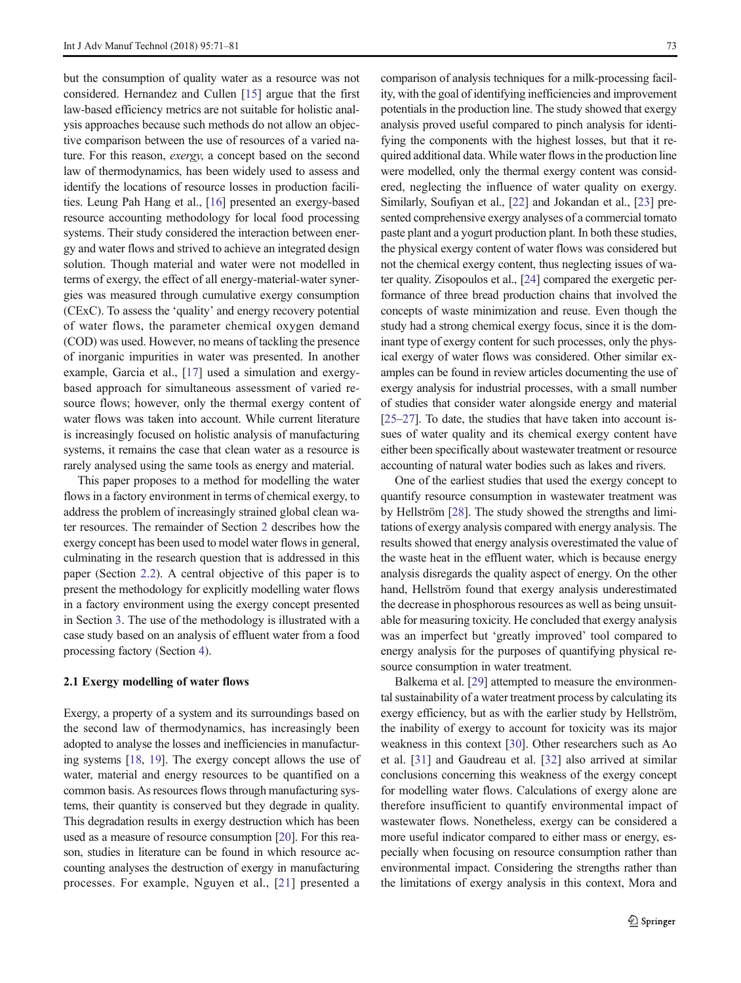but the consumption of quality water as a resource was not considered. Hernandez and Cullen [\[15](#page-10-0)] argue that the first law-based efficiency metrics are not suitable for holistic analysis approaches because such methods do not allow an objective comparison between the use of resources of a varied nature. For this reason, exergy, a concept based on the second law of thermodynamics, has been widely used to assess and identify the locations of resource losses in production facilities. Leung Pah Hang et al., [[16](#page-10-0)] presented an exergy-based resource accounting methodology for local food processing systems. Their study considered the interaction between energy and water flows and strived to achieve an integrated design solution. Though material and water were not modelled in terms of exergy, the effect of all energy-material-water synergies was measured through cumulative exergy consumption (CExC). To assess the 'quality' and energy recovery potential of water flows, the parameter chemical oxygen demand (COD) was used. However, no means of tackling the presence of inorganic impurities in water was presented. In another example, Garcia et al., [[17\]](#page-10-0) used a simulation and exergybased approach for simultaneous assessment of varied resource flows; however, only the thermal exergy content of water flows was taken into account. While current literature is increasingly focused on holistic analysis of manufacturing systems, it remains the case that clean water as a resource is rarely analysed using the same tools as energy and material.

This paper proposes to a method for modelling the water flows in a factory environment in terms of chemical exergy, to address the problem of increasingly strained global clean water resources. The remainder of Section [2](#page-2-0) describes how the exergy concept has been used to model water flows in general, culminating in the research question that is addressed in this paper (Section [2.2](#page-4-0)). A central objective of this paper is to present the methodology for explicitly modelling water flows in a factory environment using the exergy concept presented in Section [3.](#page-4-0) The use of the methodology is illustrated with a case study based on an analysis of effluent water from a food processing factory (Section [4\)](#page-7-0).

#### 2.1 Exergy modelling of water flows

Exergy, a property of a system and its surroundings based on the second law of thermodynamics, has increasingly been adopted to analyse the losses and inefficiencies in manufacturing systems [\[18,](#page-10-0) [19\]](#page-10-0). The exergy concept allows the use of water, material and energy resources to be quantified on a common basis. As resources flows through manufacturing systems, their quantity is conserved but they degrade in quality. This degradation results in exergy destruction which has been used as a measure of resource consumption [\[20\]](#page-10-0). For this reason, studies in literature can be found in which resource accounting analyses the destruction of exergy in manufacturing processes. For example, Nguyen et al., [[21](#page-10-0)] presented a

comparison of analysis techniques for a milk-processing facility, with the goal of identifying inefficiencies and improvement potentials in the production line. The study showed that exergy analysis proved useful compared to pinch analysis for identifying the components with the highest losses, but that it required additional data. While water flows in the production line were modelled, only the thermal exergy content was considered, neglecting the influence of water quality on exergy. Similarly, Soufiyan et al., [\[22\]](#page-10-0) and Jokandan et al., [[23\]](#page-10-0) presented comprehensive exergy analyses of a commercial tomato paste plant and a yogurt production plant. In both these studies, the physical exergy content of water flows was considered but not the chemical exergy content, thus neglecting issues of water quality. Zisopoulos et al., [\[24](#page-10-0)] compared the exergetic performance of three bread production chains that involved the concepts of waste minimization and reuse. Even though the study had a strong chemical exergy focus, since it is the dominant type of exergy content for such processes, only the physical exergy of water flows was considered. Other similar examples can be found in review articles documenting the use of exergy analysis for industrial processes, with a small number of studies that consider water alongside energy and material [\[25](#page-10-0)–[27](#page-10-0)]. To date, the studies that have taken into account issues of water quality and its chemical exergy content have either been specifically about wastewater treatment or resource accounting of natural water bodies such as lakes and rivers.

One of the earliest studies that used the exergy concept to quantify resource consumption in wastewater treatment was by Hellström [\[28](#page-10-0)]. The study showed the strengths and limitations of exergy analysis compared with energy analysis. The results showed that energy analysis overestimated the value of the waste heat in the effluent water, which is because energy analysis disregards the quality aspect of energy. On the other hand, Hellström found that exergy analysis underestimated the decrease in phosphorous resources as well as being unsuitable for measuring toxicity. He concluded that exergy analysis was an imperfect but 'greatly improved' tool compared to energy analysis for the purposes of quantifying physical resource consumption in water treatment.

Balkema et al. [\[29\]](#page-10-0) attempted to measure the environmental sustainability of a water treatment process by calculating its exergy efficiency, but as with the earlier study by Hellström, the inability of exergy to account for toxicity was its major weakness in this context [\[30](#page-11-0)]. Other researchers such as Ao et al. [\[31](#page-11-0)] and Gaudreau et al. [\[32](#page-11-0)] also arrived at similar conclusions concerning this weakness of the exergy concept for modelling water flows. Calculations of exergy alone are therefore insufficient to quantify environmental impact of wastewater flows. Nonetheless, exergy can be considered a more useful indicator compared to either mass or energy, especially when focusing on resource consumption rather than environmental impact. Considering the strengths rather than the limitations of exergy analysis in this context, Mora and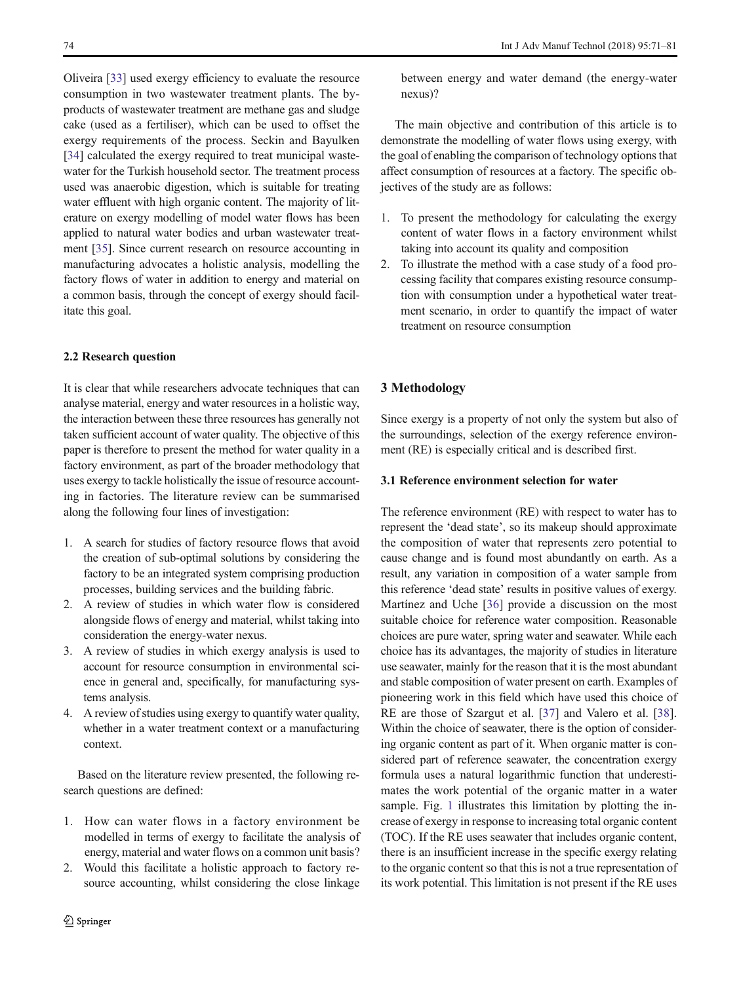<span id="page-4-0"></span>Oliveira [[33](#page-11-0)] used exergy efficiency to evaluate the resource consumption in two wastewater treatment plants. The byproducts of wastewater treatment are methane gas and sludge cake (used as a fertiliser), which can be used to offset the exergy requirements of the process. Seckin and Bayulken [\[34\]](#page-11-0) calculated the exergy required to treat municipal wastewater for the Turkish household sector. The treatment process used was anaerobic digestion, which is suitable for treating water effluent with high organic content. The majority of literature on exergy modelling of model water flows has been applied to natural water bodies and urban wastewater treatment [\[35\]](#page-11-0). Since current research on resource accounting in manufacturing advocates a holistic analysis, modelling the factory flows of water in addition to energy and material on a common basis, through the concept of exergy should facilitate this goal.

### 2.2 Research question

It is clear that while researchers advocate techniques that can analyse material, energy and water resources in a holistic way, the interaction between these three resources has generally not taken sufficient account of water quality. The objective of this paper is therefore to present the method for water quality in a factory environment, as part of the broader methodology that uses exergy to tackle holistically the issue of resource accounting in factories. The literature review can be summarised along the following four lines of investigation:

- 1. A search for studies of factory resource flows that avoid the creation of sub-optimal solutions by considering the factory to be an integrated system comprising production processes, building services and the building fabric.
- 2. A review of studies in which water flow is considered alongside flows of energy and material, whilst taking into consideration the energy-water nexus.
- 3. A review of studies in which exergy analysis is used to account for resource consumption in environmental science in general and, specifically, for manufacturing systems analysis.
- 4. A review of studies using exergy to quantify water quality, whether in a water treatment context or a manufacturing context.

Based on the literature review presented, the following research questions are defined:

- 1. How can water flows in a factory environment be modelled in terms of exergy to facilitate the analysis of energy, material and water flows on a common unit basis?
- 2. Would this facilitate a holistic approach to factory resource accounting, whilst considering the close linkage

between energy and water demand (the energy-water nexus)?

The main objective and contribution of this article is to demonstrate the modelling of water flows using exergy, with the goal of enabling the comparison of technology options that affect consumption of resources at a factory. The specific objectives of the study are as follows:

- 1. To present the methodology for calculating the exergy content of water flows in a factory environment whilst taking into account its quality and composition
- 2. To illustrate the method with a case study of a food processing facility that compares existing resource consumption with consumption under a hypothetical water treatment scenario, in order to quantify the impact of water treatment on resource consumption

## 3 Methodology

Since exergy is a property of not only the system but also of the surroundings, selection of the exergy reference environment (RE) is especially critical and is described first.

#### 3.1 Reference environment selection for water

The reference environment (RE) with respect to water has to represent the 'dead state', so its makeup should approximate the composition of water that represents zero potential to cause change and is found most abundantly on earth. As a result, any variation in composition of a water sample from this reference 'dead state' results in positive values of exergy. Martínez and Uche [\[36](#page-11-0)] provide a discussion on the most suitable choice for reference water composition. Reasonable choices are pure water, spring water and seawater. While each choice has its advantages, the majority of studies in literature use seawater, mainly for the reason that it is the most abundant and stable composition of water present on earth. Examples of pioneering work in this field which have used this choice of RE are those of Szargut et al. [\[37](#page-11-0)] and Valero et al. [[38\]](#page-11-0). Within the choice of seawater, there is the option of considering organic content as part of it. When organic matter is considered part of reference seawater, the concentration exergy formula uses a natural logarithmic function that underestimates the work potential of the organic matter in a water sample. Fig. [1](#page-5-0) illustrates this limitation by plotting the increase of exergy in response to increasing total organic content (TOC). If the RE uses seawater that includes organic content, there is an insufficient increase in the specific exergy relating to the organic content so that this is not a true representation of its work potential. This limitation is not present if the RE uses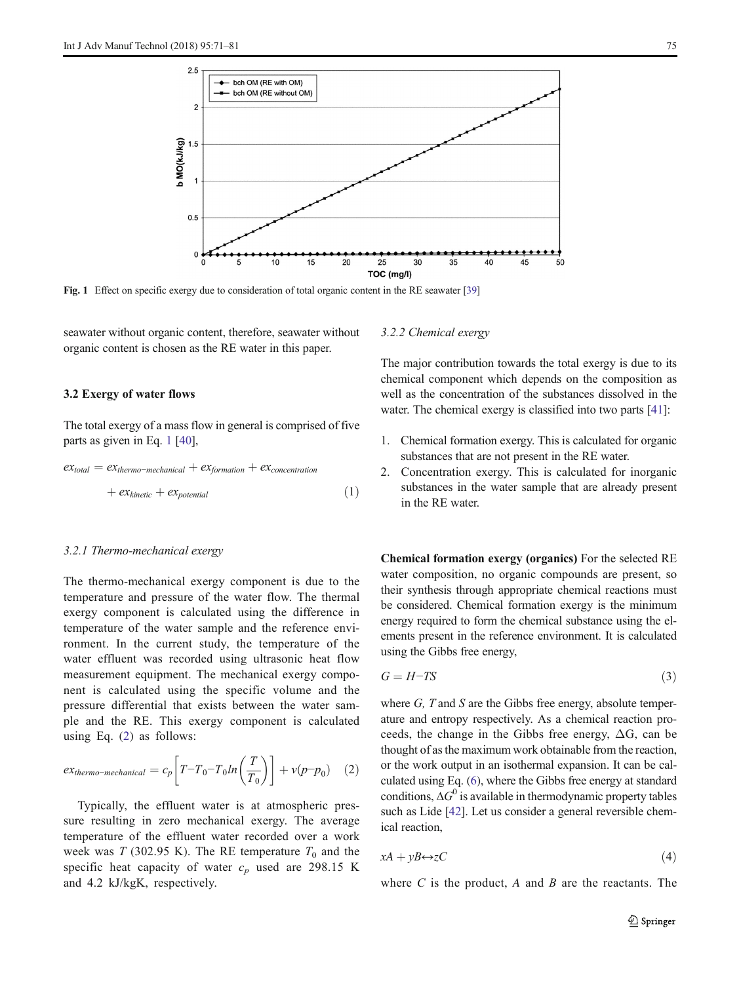<span id="page-5-0"></span>

Fig. 1 Effect on specific exergy due to consideration of total organic content in the RE seawater [\[39](#page-11-0)]

seawater without organic content, therefore, seawater without organic content is chosen as the RE water in this paper.

## 3.2 Exergy of water flows

The total exergy of a mass flow in general is comprised of five parts as given in Eq. 1 [\[40\]](#page-11-0),

$$
ex_{total} = ex_{thermo-mechanical} + ex_{formation} + ex_{concentration}
$$

$$
+ ex_{kinetic} + ex_{potential}
$$
 (1)

## 3.2.1 Thermo-mechanical exergy

The thermo-mechanical exergy component is due to the temperature and pressure of the water flow. The thermal exergy component is calculated using the difference in temperature of the water sample and the reference environment. In the current study, the temperature of the water effluent was recorded using ultrasonic heat flow measurement equipment. The mechanical exergy component is calculated using the specific volume and the pressure differential that exists between the water sample and the RE. This exergy component is calculated using Eq. (2) as follows:

$$
ex_{thermo-mechanical} = c_p \left[ T - T_0 - T_0 \ln \left( \frac{T}{T_0} \right) \right] + v(p - p_0) \quad (2)
$$

Typically, the effluent water is at atmospheric pressure resulting in zero mechanical exergy. The average temperature of the effluent water recorded over a work week was T (302.95 K). The RE temperature  $T_0$  and the specific heat capacity of water  $c_p$  used are 298.15 K and 4.2 kJ/kgK, respectively.

3.2.2 Chemical exergy

The major contribution towards the total exergy is due to its chemical component which depends on the composition as well as the concentration of the substances dissolved in the water. The chemical exergy is classified into two parts [\[41](#page-11-0)]:

- 1. Chemical formation exergy. This is calculated for organic substances that are not present in the RE water.
- 2. Concentration exergy. This is calculated for inorganic substances in the water sample that are already present in the RE water.

Chemical formation exergy (organics) For the selected RE water composition, no organic compounds are present, so their synthesis through appropriate chemical reactions must be considered. Chemical formation exergy is the minimum energy required to form the chemical substance using the elements present in the reference environment. It is calculated using the Gibbs free energy,

$$
G = H - TS \tag{3}
$$

where  $G$ ,  $T$  and  $S$  are the Gibbs free energy, absolute temperature and entropy respectively. As a chemical reaction proceeds, the change in the Gibbs free energy,  $\Delta G$ , can be thought of as the maximum work obtainable from the reaction, or the work output in an isothermal expansion. It can be calculated using Eq. [\(6](#page-6-0)), where the Gibbs free energy at standard conditions,  $\Delta G^0$  is available in thermodynamic property tables such as Lide [\[42\]](#page-11-0). Let us consider a general reversible chemical reaction,

$$
xA + yB \leftrightarrow zC \tag{4}
$$

where  $C$  is the product,  $A$  and  $B$  are the reactants. The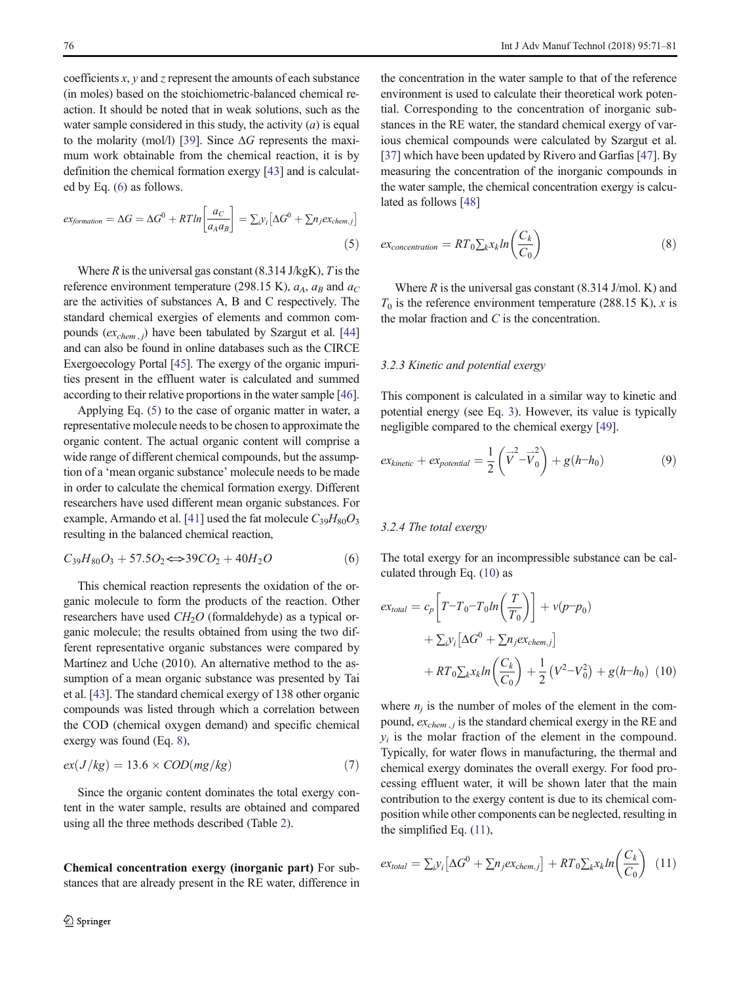<span id="page-6-0"></span>coefficients  $x$ ,  $y$  and  $z$  represent the amounts of each substance (in moles) based on the stoichiometric-balanced chemical reaction. It should be noted that in weak solutions, such as the water sample considered in this study, the activity  $(a)$  is equal to the molarity (mol/l) [\[39](#page-11-0)]. Since  $\Delta G$  represents the maximum work obtainable from the chemical reaction, it is by definition the chemical formation exergy [\[43\]](#page-11-0) and is calculated by Eq. (6) as follows.

$$
ex_{formation} = \Delta G = \Delta G^{0} + RTln\left[\frac{ac}{a_{A}a_{B}}\right] = \sum_{i} y_{i} \left[\Delta G^{0} + \sum n_{j}ex_{chem,j}\right]
$$
\n(5)

Where  $R$  is the universal gas constant (8.314 J/kgK),  $T$  is the reference environment temperature (298.15 K),  $a_A$ ,  $a_B$  and  $a_C$ are the activities of substances A, B and C respectively. The standard chemical exergies of elements and common compounds  $(ex_{chem, j})$  have been tabulated by Szargut et al. [\[44\]](#page-11-0) and can also be found in online databases such as the CIRCE Exergoecology Portal [\[45\]](#page-11-0). The exergy of the organic impurities present in the effluent water is calculated and summed according to their relative proportions in the water sample [\[46\]](#page-11-0).

Applying Eq. (5) to the case of organic matter in water, a representative molecule needs to be chosen to approximate the organic content. The actual organic content will comprise a wide range of different chemical compounds, but the assumption of a 'mean organic substance' molecule needs to be made in order to calculate the chemical formation exergy. Different researchers have used different mean organic substances. For example, Armando et al. [\[41\]](#page-11-0) used the fat molecule  $C_{39}H_{80}O_3$ resulting in the balanced chemical reaction,

$$
C_{39}H_{80}O_3 + 57.5O_2 \Longleftrightarrow 39CO_2 + 40H_2O \tag{6}
$$

This chemical reaction represents the oxidation of the organic molecule to form the products of the reaction. Other researchers have used  $CH<sub>2</sub>O$  (formaldehyde) as a typical organic molecule; the results obtained from using the two different representative organic substances were compared by Martínez and Uche (2010). An alternative method to the assumption of a mean organic substance was presented by Tai et al. [\[43\]](#page-11-0). The standard chemical exergy of 138 other organic compounds was listed through which a correlation between the COD (chemical oxygen demand) and specific chemical exergy was found (Eq. 8),

$$
ex(J/kg) = 13.6 \times COD(mg/kg)
$$
 (7)

Since the organic content dominates the total exergy content in the water sample, results are obtained and compared using all the three methods described (Table [2](#page-8-0)).

Chemical concentration exergy (inorganic part) For substances that are already present in the RE water, difference in

the concentration in the water sample to that of the reference environment is used to calculate their theoretical work potential. Corresponding to the concentration of inorganic substances in the RE water, the standard chemical exergy of various chemical compounds were calculated by Szargut et al. [\[37](#page-11-0)] which have been updated by Rivero and Garfias [\[47\]](#page-11-0). By measuring the concentration of the inorganic compounds in the water sample, the chemical concentration exergy is calculated as follows [[48\]](#page-11-0)

$$
ex_{concentration} = RT_0 \sum_k x_k ln\left(\frac{C_k}{C_0}\right)
$$
\n(8)

Where  $R$  is the universal gas constant (8.314 J/mol. K) and  $T_0$  is the reference environment temperature (288.15 K), x is the molar fraction and C is the concentration.

#### 3.2.3 Kinetic and potential exergy

This component is calculated in a similar way to kinetic and potential energy (see Eq. [3\)](#page-5-0). However, its value is typically negligible compared to the chemical exergy [\[49](#page-11-0)].

$$
ex_{kinetic} + ex_{potential} = \frac{1}{2} \left( \vec{V} - \vec{V}_0^2 \right) + g(h - h_0)
$$
 (9)

#### 3.2.4 The total exergy

The total exergy for an incompressible substance can be calculated through Eq. (10) as

$$
ex_{total} = c_p \left[ T - T_0 - T_0 \ln \left( \frac{T}{T_0} \right) \right] + v(p - p_0)
$$
  
+ 
$$
\sum_i y_i \left[ \Delta G^0 + \sum n_j e x_{chem,j} \right]
$$
  
+ 
$$
RT_0 \sum_k x_k \ln \left( \frac{C_k}{C_0} \right) + \frac{1}{2} \left( V^2 - V_0^2 \right) + g(h - h_0) \quad (10)
$$

where  $n_i$  is the number of moles of the element in the compound,  $ex_{chem, j}$  is the standard chemical exergy in the RE and  $y_i$  is the molar fraction of the element in the compound. Typically, for water flows in manufacturing, the thermal and chemical exergy dominates the overall exergy. For food processing effluent water, it will be shown later that the main contribution to the exergy content is due to its chemical composition while other components can be neglected, resulting in the simplified Eq. (11),

$$
ex_{total} = \sum_{i} y_i \left[ \Delta G^0 + \sum n_j ex_{chem,j} \right] + RT_0 \sum_k x_k ln\left(\frac{C_k}{C_0}\right) \tag{11}
$$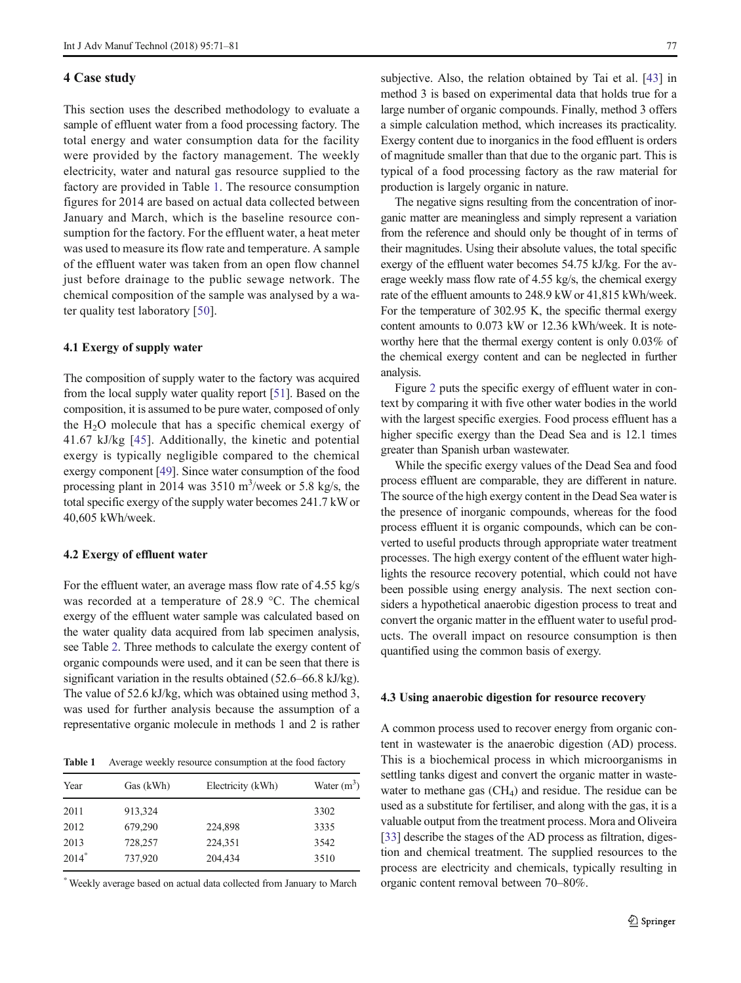#### <span id="page-7-0"></span>4 Case study

This section uses the described methodology to evaluate a sample of effluent water from a food processing factory. The total energy and water consumption data for the facility were provided by the factory management. The weekly electricity, water and natural gas resource supplied to the factory are provided in Table 1. The resource consumption figures for 2014 are based on actual data collected between January and March, which is the baseline resource consumption for the factory. For the effluent water, a heat meter was used to measure its flow rate and temperature. A sample of the effluent water was taken from an open flow channel just before drainage to the public sewage network. The chemical composition of the sample was analysed by a water quality test laboratory [[50\]](#page-11-0).

#### 4.1 Exergy of supply water

The composition of supply water to the factory was acquired from the local supply water quality report [\[51\]](#page-11-0). Based on the composition, it is assumed to be pure water, composed of only the  $H_2O$  molecule that has a specific chemical exergy of 41.67 kJ/kg [[45](#page-11-0)]. Additionally, the kinetic and potential exergy is typically negligible compared to the chemical exergy component [\[49](#page-11-0)]. Since water consumption of the food processing plant in 2014 was  $3510 \text{ m}^3/\text{week}$  or  $5.8 \text{ kg/s}$ , the total specific exergy of the supply water becomes 241.7 kW or 40,605 kWh/week.

## 4.2 Exergy of effluent water

For the effluent water, an average mass flow rate of 4.55 kg/s was recorded at a temperature of 28.9 °C. The chemical exergy of the effluent water sample was calculated based on the water quality data acquired from lab specimen analysis, see Table [2.](#page-8-0) Three methods to calculate the exergy content of organic compounds were used, and it can be seen that there is significant variation in the results obtained (52.6–66.8 kJ/kg). The value of 52.6 kJ/kg, which was obtained using method 3, was used for further analysis because the assumption of a representative organic molecule in methods 1 and 2 is rather

Table 1 Average weekly resource consumption at the food factory

| Year    | Gas (kWh) | Electricity (kWh) | Water $(m^3)$ |
|---------|-----------|-------------------|---------------|
| 2011    | 913,324   |                   | 3302          |
| 2012    | 679,290   | 224,898           | 3335          |
| 2013    | 728,257   | 224,351           | 3542          |
| $2014*$ | 737,920   | 204,434           | 3510          |

\* Weekly average based on actual data collected from January to March

subjective. Also, the relation obtained by Tai et al. [[43\]](#page-11-0) in method 3 is based on experimental data that holds true for a large number of organic compounds. Finally, method 3 offers a simple calculation method, which increases its practicality. Exergy content due to inorganics in the food effluent is orders of magnitude smaller than that due to the organic part. This is typical of a food processing factory as the raw material for production is largely organic in nature.

The negative signs resulting from the concentration of inorganic matter are meaningless and simply represent a variation from the reference and should only be thought of in terms of their magnitudes. Using their absolute values, the total specific exergy of the effluent water becomes 54.75 kJ/kg. For the average weekly mass flow rate of 4.55 kg/s, the chemical exergy rate of the effluent amounts to 248.9 kW or 41,815 kWh/week. For the temperature of 302.95 K, the specific thermal exergy content amounts to 0.073 kW or 12.36 kWh/week. It is noteworthy here that the thermal exergy content is only 0.03% of the chemical exergy content and can be neglected in further analysis.

Figure [2](#page-8-0) puts the specific exergy of effluent water in context by comparing it with five other water bodies in the world with the largest specific exergies. Food process effluent has a higher specific exergy than the Dead Sea and is 12.1 times greater than Spanish urban wastewater.

While the specific exergy values of the Dead Sea and food process effluent are comparable, they are different in nature. The source of the high exergy content in the Dead Sea water is the presence of inorganic compounds, whereas for the food process effluent it is organic compounds, which can be converted to useful products through appropriate water treatment processes. The high exergy content of the effluent water highlights the resource recovery potential, which could not have been possible using energy analysis. The next section considers a hypothetical anaerobic digestion process to treat and convert the organic matter in the effluent water to useful products. The overall impact on resource consumption is then quantified using the common basis of exergy.

#### 4.3 Using anaerobic digestion for resource recovery

A common process used to recover energy from organic content in wastewater is the anaerobic digestion (AD) process. This is a biochemical process in which microorganisms in settling tanks digest and convert the organic matter in wastewater to methane gas  $(CH<sub>4</sub>)$  and residue. The residue can be used as a substitute for fertiliser, and along with the gas, it is a valuable output from the treatment process. Mora and Oliveira [\[33](#page-11-0)] describe the stages of the AD process as filtration, digestion and chemical treatment. The supplied resources to the process are electricity and chemicals, typically resulting in organic content removal between 70–80%.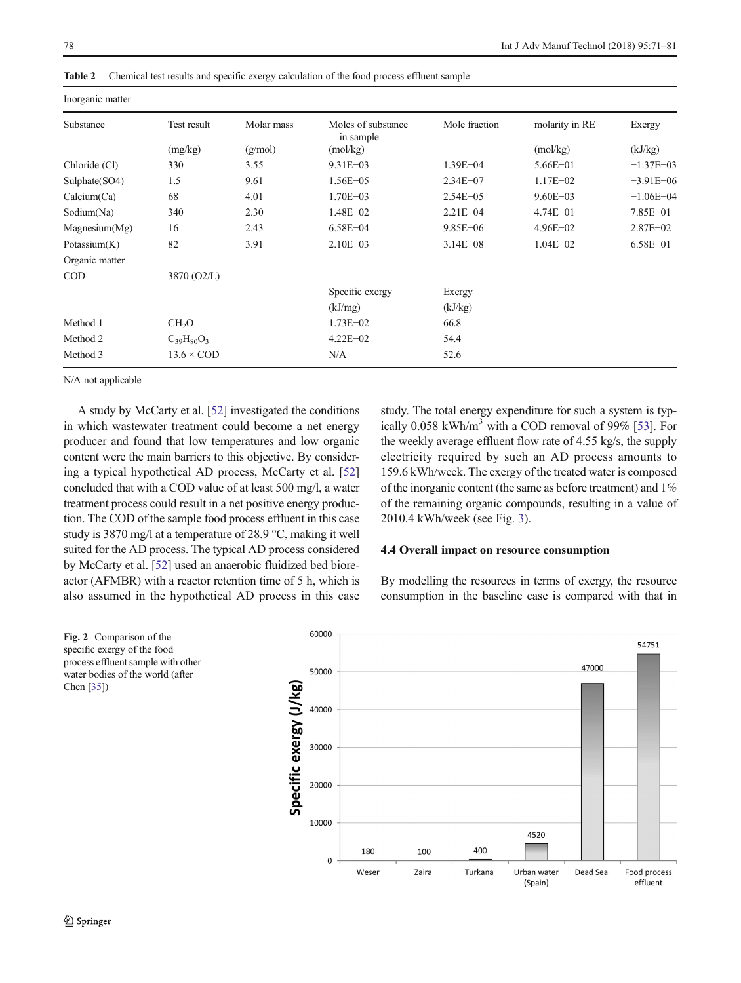| Inorganic matter |                   |            |                                 |               |                |               |
|------------------|-------------------|------------|---------------------------------|---------------|----------------|---------------|
| Substance        | Test result       | Molar mass | Moles of substance<br>in sample | Mole fraction | molarity in RE | Exergy        |
|                  | (mg/kg)           | (g/mol)    | (mol/kg)                        |               | (mol/kg)       | (kJ/kg)       |
| Chloride (Cl)    | 330               | 3.55       | $9.31E - 03$                    | $1.39E - 04$  | $5.66E - 01$   | $-1.37E - 03$ |
| Sulphate(SO4)    | 1.5               | 9.61       | $1.56E - 05$                    | $2.34E - 07$  | $1.17E - 02$   | $-3.91E - 06$ |
| Calcium(Ca)      | 68                | 4.01       | $1.70E - 03$                    | $2.54E - 05$  | $9.60E - 03$   | $-1.06E - 04$ |
| Sodium(Na)       | 340               | 2.30       | $1.48E - 02$                    | $2.21E - 04$  | $4.74E - 01$   | 7.85E-01      |
| Magnesium(Mg)    | 16                | 2.43       | $6.58E - 04$                    | $9.85E - 06$  | $4.96E - 02$   | $2.87E - 02$  |
| Potassium $(K)$  | 82                | 3.91       | $2.10E - 03$                    | $3.14E - 08$  | $1.04E - 02$   | $6.58E - 01$  |
| Organic matter   |                   |            |                                 |               |                |               |
| <b>COD</b>       | 3870 (O2/L)       |            |                                 |               |                |               |
|                  |                   |            | Specific exergy                 | Exergy        |                |               |
|                  |                   |            | (kJ/mg)                         | (kJ/kg)       |                |               |
| Method 1         | CH <sub>2</sub> O |            | $1.73E - 02$                    | 66.8          |                |               |
| Method 2         | $C_{39}H_{80}O_3$ |            | $4.22E - 02$                    | 54.4          |                |               |
| Method 3         | $13.6 \times$ COD |            | N/A                             | 52.6          |                |               |
|                  |                   |            |                                 |               |                |               |

<span id="page-8-0"></span>Table 2 Chemical test results and specific exergy calculation of the food process effluent sample

N/A not applicable

A study by McCarty et al. [[52](#page-11-0)] investigated the conditions in which wastewater treatment could become a net energy producer and found that low temperatures and low organic content were the main barriers to this objective. By considering a typical hypothetical AD process, McCarty et al. [\[52\]](#page-11-0) concluded that with a COD value of at least 500 mg/l, a water treatment process could result in a net positive energy production. The COD of the sample food process effluent in this case study is 3870 mg/l at a temperature of 28.9 °C, making it well suited for the AD process. The typical AD process considered by McCarty et al. [\[52\]](#page-11-0) used an anaerobic fluidized bed bioreactor (AFMBR) with a reactor retention time of 5 h, which is also assumed in the hypothetical AD process in this case study. The total energy expenditure for such a system is typ-ically 0.058 kWh/m<sup>3</sup> with a COD removal of 99% [\[53](#page-11-0)]. For the weekly average effluent flow rate of 4.55 kg/s, the supply electricity required by such an AD process amounts to 159.6 kWh/week. The exergy of the treated water is composed of the inorganic content (the same as before treatment) and 1% of the remaining organic compounds, resulting in a value of 2010.4 kWh/week (see Fig. [3\)](#page-9-0).

#### 4.4 Overall impact on resource consumption

By modelling the resources in terms of exergy, the resource consumption in the baseline case is compared with that in



Fig. 2 Comparison of the specific exergy of the food process effluent sample with other water bodies of the world (after Chen [\[35\]](#page-11-0))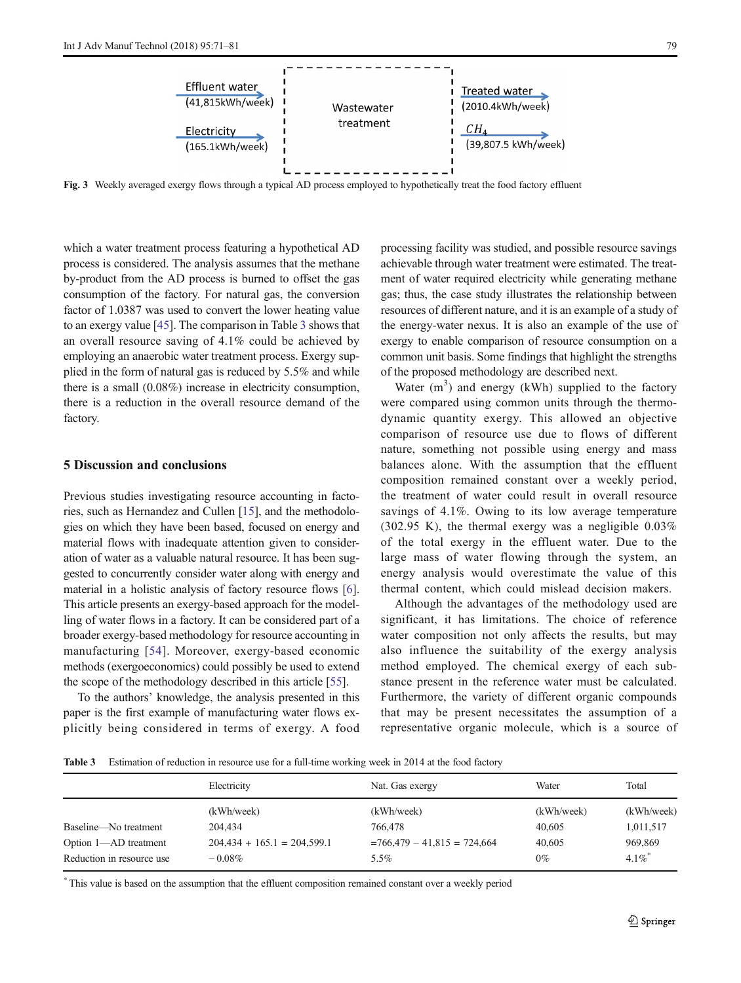<span id="page-9-0"></span>

Fig. 3 Weekly averaged exergy flows through a typical AD process employed to hypothetically treat the food factory effluent

which a water treatment process featuring a hypothetical AD process is considered. The analysis assumes that the methane by-product from the AD process is burned to offset the gas consumption of the factory. For natural gas, the conversion factor of 1.0387 was used to convert the lower heating value to an exergy value [\[45](#page-11-0)]. The comparison in Table 3 shows that an overall resource saving of 4.1% could be achieved by employing an anaerobic water treatment process. Exergy supplied in the form of natural gas is reduced by 5.5% and while there is a small (0.08%) increase in electricity consumption, there is a reduction in the overall resource demand of the factory.

#### 5 Discussion and conclusions

Previous studies investigating resource accounting in factories, such as Hernandez and Cullen [[15\]](#page-10-0), and the methodologies on which they have been based, focused on energy and material flows with inadequate attention given to consideration of water as a valuable natural resource. It has been suggested to concurrently consider water along with energy and material in a holistic analysis of factory resource flows [[6\]](#page-10-0). This article presents an exergy-based approach for the modelling of water flows in a factory. It can be considered part of a broader exergy-based methodology for resource accounting in manufacturing [[54](#page-11-0)]. Moreover, exergy-based economic methods (exergoeconomics) could possibly be used to extend the scope of the methodology described in this article [\[55](#page-11-0)].

To the authors' knowledge, the analysis presented in this paper is the first example of manufacturing water flows explicitly being considered in terms of exergy. A food processing facility was studied, and possible resource savings achievable through water treatment were estimated. The treatment of water required electricity while generating methane gas; thus, the case study illustrates the relationship between resources of different nature, and it is an example of a study of the energy-water nexus. It is also an example of the use of exergy to enable comparison of resource consumption on a common unit basis. Some findings that highlight the strengths of the proposed methodology are described next.

Water  $(m^3)$  and energy (kWh) supplied to the factory were compared using common units through the thermodynamic quantity exergy. This allowed an objective comparison of resource use due to flows of different nature, something not possible using energy and mass balances alone. With the assumption that the effluent composition remained constant over a weekly period, the treatment of water could result in overall resource savings of 4.1%. Owing to its low average temperature  $(302.95 \text{ K})$ , the thermal exergy was a negligible  $0.03\%$ of the total exergy in the effluent water. Due to the large mass of water flowing through the system, an energy analysis would overestimate the value of this thermal content, which could mislead decision makers.

Although the advantages of the methodology used are significant, it has limitations. The choice of reference water composition not only affects the results, but may also influence the suitability of the exergy analysis method employed. The chemical exergy of each substance present in the reference water must be calculated. Furthermore, the variety of different organic compounds that may be present necessitates the assumption of a representative organic molecule, which is a source of

Table 3 Estimation of reduction in resource use for a full-time working week in 2014 at the food factory

|                           | Electricity                   | Nat. Gas exergy               | Water      | Total      |
|---------------------------|-------------------------------|-------------------------------|------------|------------|
|                           | (kWh/week)                    | (kWh/week)                    | (kWh/week) | (kWh/week) |
| Baseline—No treatment     | 204.434                       | 766,478                       | 40,605     | 1,011,517  |
| Option 1-AD treatment     | $204,434 + 165.1 = 204,599.1$ | $=766.479 - 41.815 = 724.664$ | 40,605     | 969,869    |
| Reduction in resource use | $-0.08\%$                     | $5.5\%$                       | $0\%$      | $4.1\%$    |

\* This value is based on the assumption that the effluent composition remained constant over a weekly period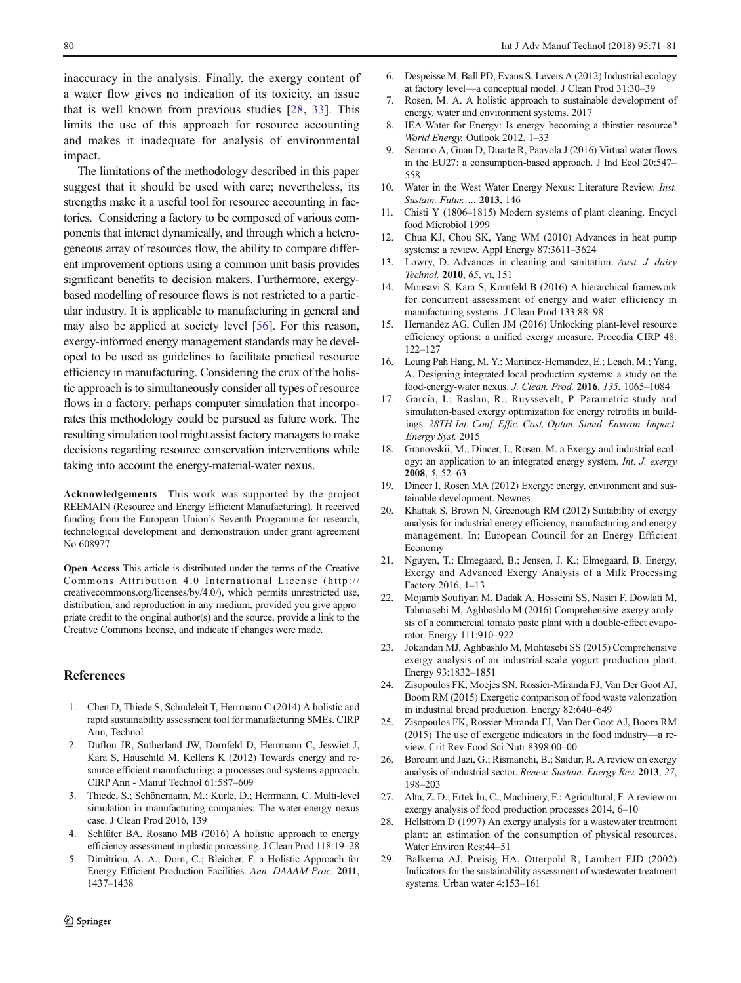<span id="page-10-0"></span>inaccuracy in the analysis. Finally, the exergy content of a water flow gives no indication of its toxicity, an issue that is well known from previous studies [28, [33](#page-11-0)]. This limits the use of this approach for resource accounting and makes it inadequate for analysis of environmental impact.

The limitations of the methodology described in this paper suggest that it should be used with care; nevertheless, its strengths make it a useful tool for resource accounting in factories. Considering a factory to be composed of various components that interact dynamically, and through which a heterogeneous array of resources flow, the ability to compare different improvement options using a common unit basis provides significant benefits to decision makers. Furthermore, exergybased modelling of resource flows is not restricted to a particular industry. It is applicable to manufacturing in general and may also be applied at society level [[56\]](#page-11-0). For this reason, exergy-informed energy management standards may be developed to be used as guidelines to facilitate practical resource efficiency in manufacturing. Considering the crux of the holistic approach is to simultaneously consider all types of resource flows in a factory, perhaps computer simulation that incorporates this methodology could be pursued as future work. The resulting simulation tool might assist factory managers to make decisions regarding resource conservation interventions while taking into account the energy-material-water nexus.

Acknowledgements This work was supported by the project REEMAIN (Resource and Energy Efficient Manufacturing). It received funding from the European Union's Seventh Programme for research, technological development and demonstration under grant agreement No 608977.

Open Access This article is distributed under the terms of the Creative Commons Attribution 4.0 International License (http:// creativecommons.org/licenses/by/4.0/), which permits unrestricted use, distribution, and reproduction in any medium, provided you give appropriate credit to the original author(s) and the source, provide a link to the Creative Commons license, and indicate if changes were made.

#### References

- 1. Chen D, Thiede S, Schudeleit T, Herrmann C (2014) A holistic and rapid sustainability assessment tool for manufacturing SMEs. CIRP Ann, Technol
- 2. Duflou JR, Sutherland JW, Dornfeld D, Herrmann C, Jeswiet J, Kara S, Hauschild M, Kellens K (2012) Towards energy and resource efficient manufacturing: a processes and systems approach. CIRP Ann - Manuf Technol 61:587–609
- 3. Thiede, S.; Schönemann, M.; Kurle, D.; Herrmann, C. Multi-level simulation in manufacturing companies: The water-energy nexus case. J Clean Prod 2016, 139
- 4. Schlüter BA, Rosano MB (2016) A holistic approach to energy efficiency assessment in plastic processing. J Clean Prod 118:19–28
- 5. Dimitriou, A. A.; Dorn, C.; Bleicher, F. a Holistic Approach for Energy Efficient Production Facilities. Ann. DAAAM Proc. 2011, 1437–1438
- 6. Despeisse M, Ball PD, Evans S, Levers A (2012) Industrial ecology at factory level—a conceptual model. J Clean Prod 31:30–39
- 7. Rosen, M. A. A holistic approach to sustainable development of energy, water and environment systems. 2017
- 8. IEA Water for Energy: Is energy becoming a thirstier resource? World Energy. Outlook 2012, 1–33
- 9. Serrano A, Guan D, Duarte R, Paavola J (2016) Virtual water flows in the EU27: a consumption-based approach. J Ind Ecol 20:547– 558
- 10. Water in the West Water Energy Nexus: Literature Review. Inst. Sustain. Futur. … 2013, 146
- 11. Chisti Y (1806–1815) Modern systems of plant cleaning. Encycl food Microbiol 1999
- 12. Chua KJ, Chou SK, Yang WM (2010) Advances in heat pump systems: a review. Appl Energy 87:3611–3624
- 13. Lowry, D. Advances in cleaning and sanitation. Aust. J. dairy Technol. 2010, 65, vi, 151
- 14. Mousavi S, Kara S, Kornfeld B (2016) A hierarchical framework for concurrent assessment of energy and water efficiency in manufacturing systems. J Clean Prod 133:88–98
- 15. Hernandez AG, Cullen JM (2016) Unlocking plant-level resource efficiency options: a unified exergy measure. Procedia CIRP 48: 122–127
- 16. Leung Pah Hang, M. Y.; Martinez-Hernandez, E.; Leach, M.; Yang, A. Designing integrated local production systems: a study on the food-energy-water nexus. J. Clean. Prod. 2016, 135, 1065–1084
- 17. García, I.; Raslan, R.; Ruyssevelt, P. Parametric study and simulation-based exergy optimization for energy retrofits in buildings. 28TH Int. Conf. Effic. Cost, Optim. Simul. Environ. Impact. Energy Syst. 2015
- 18. Granovskii, M.; Dincer, I.; Rosen, M. a Exergy and industrial ecology: an application to an integrated energy system. Int. J. exergy 2008, 5, 52–63
- 19. Dincer I, Rosen MA (2012) Exergy: energy, environment and sustainable development. Newnes
- 20. Khattak S, Brown N, Greenough RM (2012) Suitability of exergy analysis for industrial energy efficiency, manufacturing and energy management. In; European Council for an Energy Efficient Economy
- 21. Nguyen, T.; Elmegaard, B.; Jensen, J. K.; Elmegaard, B. Energy, Exergy and Advanced Exergy Analysis of a Milk Processing Factory 2016, 1–13
- 22. Mojarab Soufiyan M, Dadak A, Hosseini SS, Nasiri F, Dowlati M, Tahmasebi M, Aghbashlo M (2016) Comprehensive exergy analysis of a commercial tomato paste plant with a double-effect evaporator. Energy 111:910–922
- 23. Jokandan MJ, Aghbashlo M, Mohtasebi SS (2015) Comprehensive exergy analysis of an industrial-scale yogurt production plant. Energy 93:1832–1851
- 24. Zisopoulos FK, Moejes SN, Rossier-Miranda FJ, Van Der Goot AJ, Boom RM (2015) Exergetic comparison of food waste valorization in industrial bread production. Energy 82:640–649
- 25. Zisopoulos FK, Rossier-Miranda FJ, Van Der Goot AJ, Boom RM (2015) The use of exergetic indicators in the food industry—a review. Crit Rev Food Sci Nutr 8398:00–00
- 26. Boroum and Jazi, G.; Rismanchi, B.; Saidur, R. A review on exergy analysis of industrial sector. Renew. Sustain. Energy Rev. 2013, 27, 198–203
- 27. Alta, Z. D.; Ertek İn, C.; Machinery, F.; Agricultural, F. A review on exergy analysis of food production processes 2014, 6–10
- 28. Hellström D (1997) An exergy analysis for a wastewater treatment plant: an estimation of the consumption of physical resources. Water Environ Res:44–51
- 29. Balkema AJ, Preisig HA, Otterpohl R, Lambert FJD (2002) Indicators for the sustainability assessment of wastewater treatment systems. Urban water 4:153–161